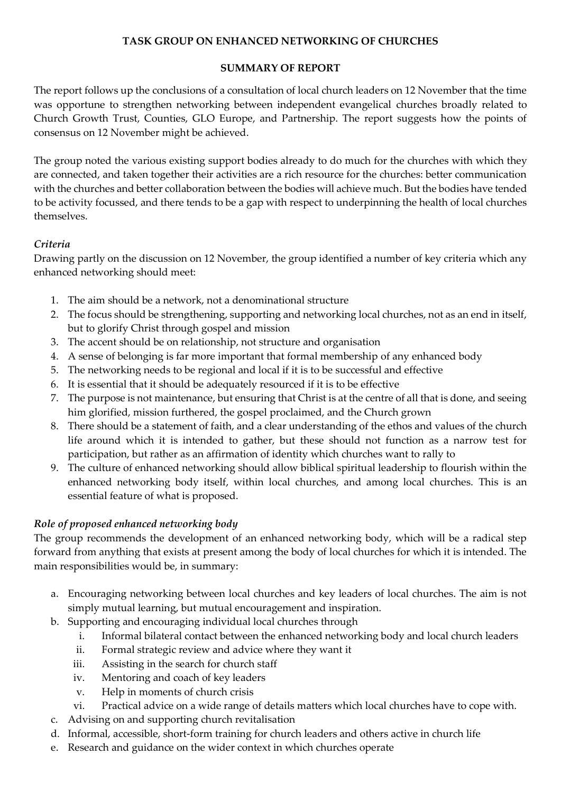## **TASK GROUP ON ENHANCED NETWORKING OF CHURCHES**

#### **SUMMARY OF REPORT**

The report follows up the conclusions of a consultation of local church leaders on 12 November that the time was opportune to strengthen networking between independent evangelical churches broadly related to Church Growth Trust, Counties, GLO Europe, and Partnership. The report suggests how the points of consensus on 12 November might be achieved.

The group noted the various existing support bodies already to do much for the churches with which they are connected, and taken together their activities are a rich resource for the churches: better communication with the churches and better collaboration between the bodies will achieve much. But the bodies have tended to be activity focussed, and there tends to be a gap with respect to underpinning the health of local churches themselves.

# *Criteria*

Drawing partly on the discussion on 12 November, the group identified a number of key criteria which any enhanced networking should meet:

- 1. The aim should be a network, not a denominational structure
- 2. The focus should be strengthening, supporting and networking local churches, not as an end in itself, but to glorify Christ through gospel and mission
- 3. The accent should be on relationship, not structure and organisation
- 4. A sense of belonging is far more important that formal membership of any enhanced body
- 5. The networking needs to be regional and local if it is to be successful and effective
- 6. It is essential that it should be adequately resourced if it is to be effective
- 7. The purpose is not maintenance, but ensuring that Christ is at the centre of all that is done, and seeing him glorified, mission furthered, the gospel proclaimed, and the Church grown
- 8. There should be a statement of faith, and a clear understanding of the ethos and values of the church life around which it is intended to gather, but these should not function as a narrow test for participation, but rather as an affirmation of identity which churches want to rally to
- 9. The culture of enhanced networking should allow biblical spiritual leadership to flourish within the enhanced networking body itself, within local churches, and among local churches. This is an essential feature of what is proposed.

## *Role of proposed enhanced networking body*

The group recommends the development of an enhanced networking body, which will be a radical step forward from anything that exists at present among the body of local churches for which it is intended. The main responsibilities would be, in summary:

- a. Encouraging networking between local churches and key leaders of local churches. The aim is not simply mutual learning, but mutual encouragement and inspiration.
- b. Supporting and encouraging individual local churches through
	- i. Informal bilateral contact between the enhanced networking body and local church leaders
	- ii. Formal strategic review and advice where they want it
	- iii. Assisting in the search for church staff
	- iv. Mentoring and coach of key leaders
	- v. Help in moments of church crisis
	- vi. Practical advice on a wide range of details matters which local churches have to cope with.
- c. Advising on and supporting church revitalisation
- d. Informal, accessible, short-form training for church leaders and others active in church life
- e. Research and guidance on the wider context in which churches operate